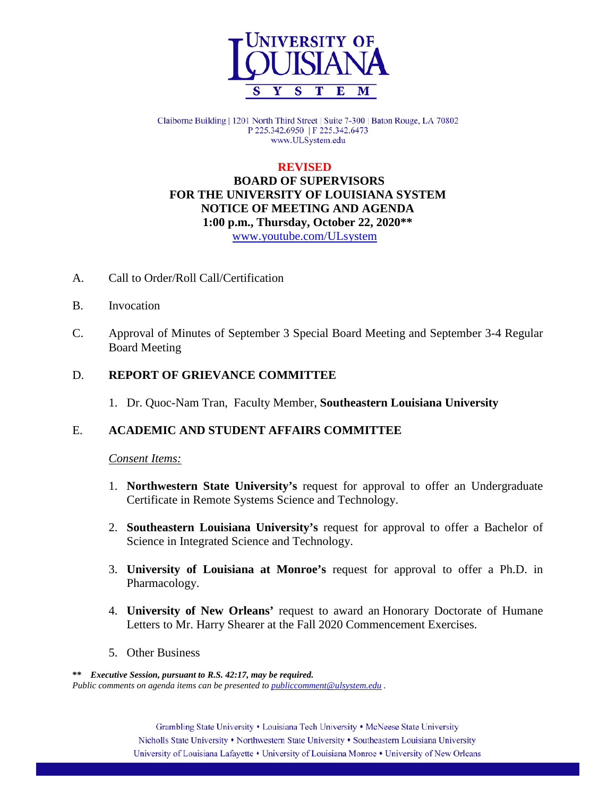

Claiborne Building | 1201 North Third Street | Suite 7-300 | Baton Rouge, LA 70802 P 225.342.6950 | F 225.342.6473 www.ULSystem.edu

## **REVISED**

 **BOARD OF SUPERVISORS FOR THE UNIVERSITY OF LOUISIANA SYSTEM NOTICE OF MEETING AND AGENDA 1:00 p.m., Thursday, October 22, 2020\*\*** [www.youtube.com/ULsystem](http://www.youtube.com/ULsystem)

- A. Call to Order/Roll Call/Certification
- B. Invocation
- C. Approval of Minutes of September 3 Special Board Meeting and September 3-4 Regular Board Meeting

### D. **REPORT OF GRIEVANCE COMMITTEE**

1. Dr. Quoc-Nam Tran, Faculty Member, **Southeastern Louisiana University**

#### E. **ACADEMIC AND STUDENT AFFAIRS COMMITTEE**

#### *Consent Items:*

- 1. **Northwestern State University's** request for approval to offer an Undergraduate Certificate in Remote Systems Science and Technology.
- 2. **Southeastern Louisiana University's** request for approval to offer a Bachelor of Science in Integrated Science and Technology.
- 3. **University of Louisiana at Monroe's** request for approval to offer a Ph.D. in Pharmacology.
- 4. **University of New Orleans'** request to award an Honorary Doctorate of Humane Letters to Mr. Harry Shearer at the Fall 2020 Commencement Exercises.
- 5. Other Business

**\*\*** *Executive Session, pursuant to R.S. 42:17, may be required. Public comments on agenda items can be presented t[o publiccomment@ulsystem.edu](mailto:publiccomment@ulsystem.edu).*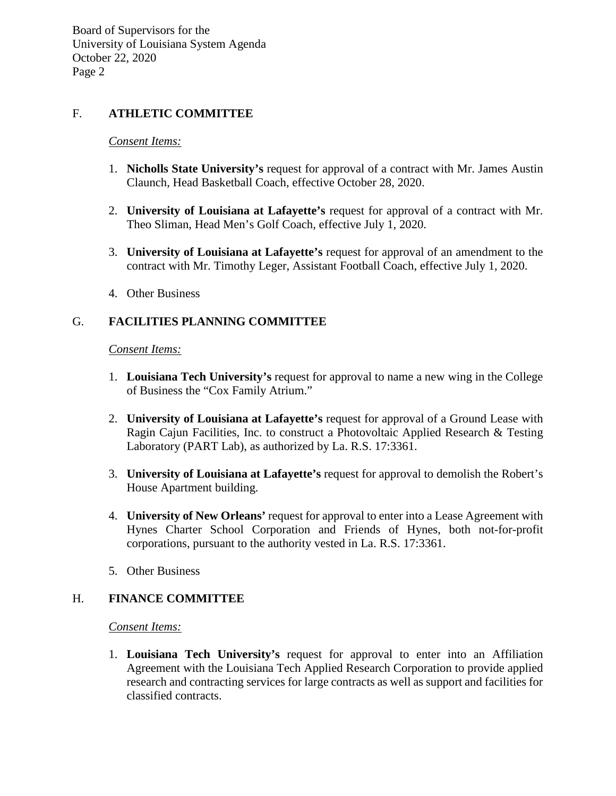Board of Supervisors for the University of Louisiana System Agenda October 22, 2020 Page 2

## F. **ATHLETIC COMMITTEE**

#### *Consent Items:*

- 1. **Nicholls State University's** request for approval of a contract with Mr. James Austin Claunch, Head Basketball Coach, effective October 28, 2020.
- 2. **University of Louisiana at Lafayette's** request for approval of a contract with Mr. Theo Sliman, Head Men's Golf Coach, effective July 1, 2020.
- 3. **University of Louisiana at Lafayette's** request for approval of an amendment to the contract with Mr. Timothy Leger, Assistant Football Coach, effective July 1, 2020.
- 4. Other Business

# G. **FACILITIES PLANNING COMMITTEE**

#### *Consent Items:*

- 1. **Louisiana Tech University's** request for approval to name a new wing in the College of Business the "Cox Family Atrium."
- 2. **University of Louisiana at Lafayette's** request for approval of a Ground Lease with Ragin Cajun Facilities, Inc. to construct a Photovoltaic Applied Research & Testing Laboratory (PART Lab), as authorized by La. R.S. 17:3361.
- 3. **University of Louisiana at Lafayette's** request for approval to demolish the Robert's House Apartment building.
- 4. **University of New Orleans'** request for approval to enter into a Lease Agreement with Hynes Charter School Corporation and Friends of Hynes, both not-for-profit corporations, pursuant to the authority vested in La. R.S. 17:3361.
- 5. Other Business

### H. **FINANCE COMMITTEE**

*Consent Items:*

1. **Louisiana Tech University's** request for approval to enter into an Affiliation Agreement with the Louisiana Tech Applied Research Corporation to provide applied research and contracting services for large contracts as well as support and facilities for classified contracts.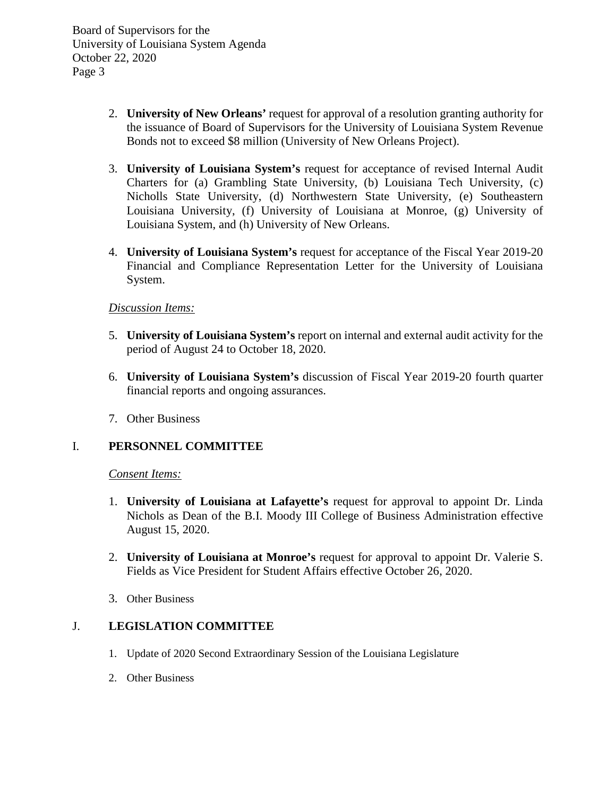Board of Supervisors for the University of Louisiana System Agenda October 22, 2020 Page 3

- 2. **University of New Orleans'** request for approval of a resolution granting authority for the issuance of Board of Supervisors for the University of Louisiana System Revenue Bonds not to exceed \$8 million (University of New Orleans Project).
- 3. **University of Louisiana System's** request for acceptance of revised Internal Audit Charters for (a) Grambling State University, (b) Louisiana Tech University, (c) Nicholls State University, (d) Northwestern State University, (e) Southeastern Louisiana University, (f) University of Louisiana at Monroe, (g) University of Louisiana System, and (h) University of New Orleans.
- 4. **University of Louisiana System's** request for acceptance of the Fiscal Year 2019-20 Financial and Compliance Representation Letter for the University of Louisiana System.

## *Discussion Items:*

- 5. **University of Louisiana System's** report on internal and external audit activity for the period of August 24 to October 18, 2020.
- 6. **University of Louisiana System's** discussion of Fiscal Year 2019-20 fourth quarter financial reports and ongoing assurances.
- 7. Other Business

# I. **PERSONNEL COMMITTEE**

### *Consent Items:*

- 1. **University of Louisiana at Lafayette's** request for approval to appoint Dr. Linda Nichols as Dean of the B.I. Moody III College of Business Administration effective August 15, 2020.
- 2. **University of Louisiana at Monroe's** request for approval to appoint Dr. Valerie S. Fields as Vice President for Student Affairs effective October 26, 2020.
- 3. Other Business

## J. **LEGISLATION COMMITTEE**

- 1. Update of 2020 Second Extraordinary Session of the Louisiana Legislature
- 2. Other Business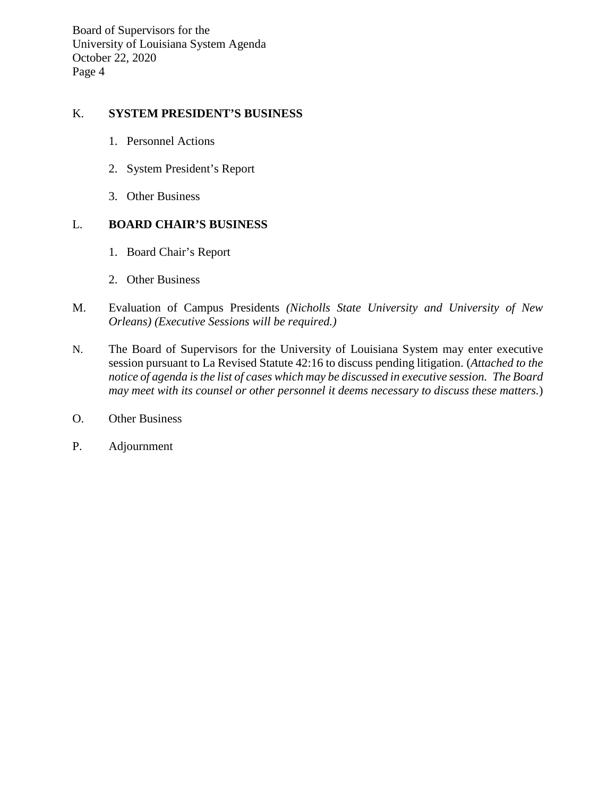Board of Supervisors for the University of Louisiana System Agenda October 22, 2020 Page 4

# K. **SYSTEM PRESIDENT'S BUSINESS**

- 1. Personnel Actions
- 2. System President's Report
- 3. Other Business

## L. **BOARD CHAIR'S BUSINESS**

- 1. Board Chair's Report
- 2. Other Business
- M. Evaluation of Campus Presidents *(Nicholls State University and University of New Orleans) (Executive Sessions will be required.)*
- N. The Board of Supervisors for the University of Louisiana System may enter executive session pursuant to La Revised Statute 42:16 to discuss pending litigation. (*Attached to the notice of agenda is the list of cases which may be discussed in executive session. The Board may meet with its counsel or other personnel it deems necessary to discuss these matters.*)
- O. Other Business
- P. Adjournment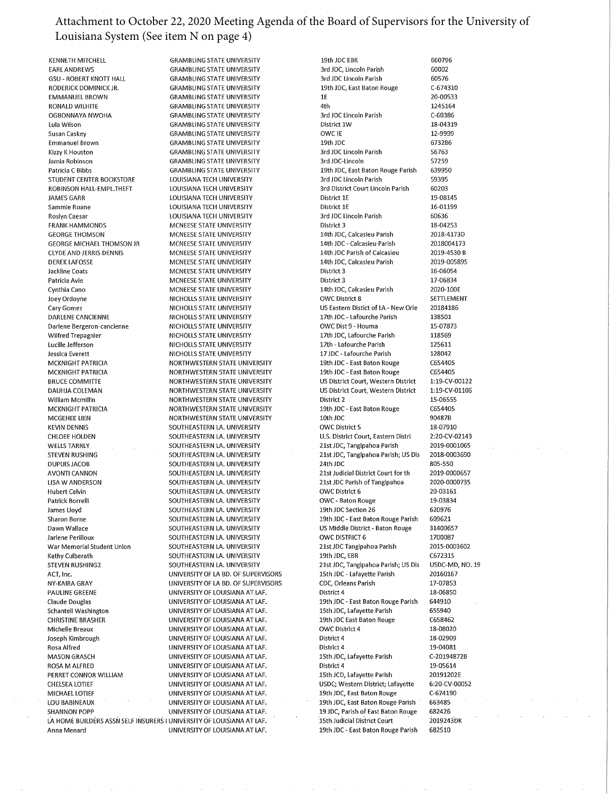### Attachment to October 22, 2020 Meeting Agenda of the Board of Supervisors for the University of Louisiana System (See item N on page 4)

**KENNETH MITCHELL EARL ANDREWS GSU - ROBERT KNOTT HALL** RODERICK DOMINICK JR. **EMMANUEL BROWN** RONALD WILHITE OGBONNAYA NWOHA Lula Wilson Susan Caskey **Emmanuel Brown** Kizzy K Houston Jamia Robinson Patricia C Bibbs STUDENT CENTER BOOKSTORE ROBINSON HALL-EMPL.THEFT **JAMES GARR** Sammie Roane **Roslyn Caesar FRANK HAMMONDS GEORGE THOMSON GEORGE MICHAEL THOMSON JR CLYDE AND JERRIS DENNIS DEREK LAFOSSE** Jackline Coats Patricia Avie Cynthia Cano Joey Ordoyne Cary Gomez DARLENE CANCIENNE Darlene Bergeron-cancienne Wilfred Trepagnier Lucille Jefferson Jessica Everett MCKNIGHT PATRICIA **MCKNIGHT PATRICIA BRUCE COMMITTE** DAUHJA COLEMAN William Mcmillin MCKNIGHT PATRICIA MCGEHEE LIEN **KEVIN DENNIS CHLOEE HOLDEN WELLS TARRLY STEVEN RUSHING DUPUIS JACOB AVONTI CANNON LISA W ANDERSON Hubert Calvin** Patrick Borrelli James Lloyd Sharon Borne Dawn Wallace Jarlene Perilloux War Memorial Student Union Kathy Culberath STEVEN RUSHING2 ACT, Inc. NY-KAIRA GRAY PAULINE GREENE Claude Douglas Schantell Washington **CHRISTINE BRASHER** Michelle Breaux Joseph Kimbrough Rosa Alfred **MASON GRASCH** ROSA M ALFRED PERRET CONNOR WILLIAM **CHELSEA LOTIEF** MICHAEL LOTIEF **LOU BABINEAUX SHANNON POPP** LA HOME BUILDERS ASSN SELF INSURERS I UNIVERSITY OF LOUISIANA AT LAF. Anna Menard

**GRAMBLING STATE UNIVERSITY GRAMBLING STATE UNIVERSITY GRAMBLING STATE UNIVERSITY GRAMBLING STATE UNIVERSITY GRAMBLING STATE UNIVERSITY GRAMBLING STATE UNIVERSITY GRAMBLING STATE UNIVERSITY GRAMBLING STATE UNIVERSITY GRAMBLING STATE UNIVERSITY GRAMBLING STATE UNIVERSITY GRAMBLING STATE UNIVERSITY GRAMBLING STATE UNIVERSITY GRAMBLING STATE UNIVERSITY TOUISIANA TECH UNIVERSITY** LOUISIANA TECH UNIVERSITY **LOUISIANA TECH UNIVERSITY** LOUISIANA TECH UNIVERSITY LOUISIANA TECH UNIVERSITY MCNEESE STATE UNIVERSITY MCNEESE STATE UNIVERSITY MCNEESE STATE UNIVERSITY MCNEESE STATE UNIVERSITY MCNEESE STATE UNIVERSITY MCNEESE STATE UNIVERSITY MCNEESE STATE UNIVERSITY MCNEESE STATE UNIVERSITY NICHOLLS STATE UNIVERSITY NICHOLLS STATE UNIVERSITY NICHOLLS STATE UNIVERSITY NICHOLLS STATE UNIVERSITY NICHOLLS STATE UNIVERSITY NICHOLLS STATE UNIVERSITY NICHOLLS STATE UNIVERSITY NORTHWESTERN STATE UNIVERSITY NORTHWESTERN STATE UNIVERSITY NORTHWESTERN STATE UNIVERSITY NORTHWESTERN STATE UNIVERSITY NORTHWESTERN STATE UNIVERSITY NORTHWESTERN STATE UNIVERSITY NORTHWESTERN STATE UNIVERSITY SOUTHEASTERN LA. UNIVERSITY SOUTHEASTERN LA. UNIVERSITY SOUTHEASTERN LA, UNIVERSITY SOUTHEASTERN LA. UNIVERSITY SOUTHEASTERN LA. UNIVERSITY SOUTHEASTERN LA. UNIVERSITY SOUTHEASTERN LA. UNIVERSITY SOUTHEASTERN LA. UNIVERSITY SOUTHEASTERN LA. UNIVERSITY SOUTHEASTERN LA. UNIVERSITY SOUTHFASTERN LA. UNIVERSITY SOUTHEASTERN LA, UNIVERSITY SOUTHEASTERN LA, UNIVERSITY SOUTHEASTERN LA. UNIVERSITY SOUTHEASTERN LA. UNIVERSITY SOUTHEASTERN LA. UNIVERSITY UNIVERSITY OF LA BD. OF SUPERVISORS UNIVERSITY OF LA BD. OF SUPERVISORS UNIVERSITY OF LOUISIANA AT LAF. UNIVERSITY OF LOUISIANA AT LAF. UNIVERSITY OF LOUISIANA AT LAF. UNIVERSITY OF LOUISIANA AT LAF. UNIVERSITY OF LOUISIANA AT LAF. UNIVERSITY OF LOUISIANA AT LAF. UNIVERSITY OF LOUISIANA AT LAF. UNIVERSITY OF LOUISIANA AT LAF. UNIVERSITY OF LOUISIANA AT LAF. UNIVERSITY OF LOUISIANA AT LAF. UNIVERSITY OF LOUISIANA AT LAF. UNIVERSITY OF LOUISIANA AT LAF. UNIVERSITY OF LOUISIANA AT LAF. UNIVERSITY OF LOUISIANA AT LAF. UNIVERSITY OF LOUISIANA AT LAF.

19th JDC EBR 660796 3rd JDC, Lincoln Parish 60002 3rd JDC Lincoln Parish 19th JDC, East Baton Rouge  $1E$ 4th 3rd JDC Lincoln Parish District 1W OWC IE 19th IDC 3rd JDC Lincoln Parish 3rd JDC-Lincoln 19th JDC, East Baton Rouge Parish 3rd JDC Lincoln Parish 3rd District Court Lincoln Parish **District 1F** District 1E 3rd JDC Lincoln Parish District 3 14th JDC, Calcasieu Parish 14th JDC - Calcasieu Parish 14th JDC Parish of Calcasieu 14th JDC, Calcasieu Parish District 3 District 3 14th JDC, Calcasieu Parish **OWC District 8** US Eastern Distict of LA - New Orle 17th JDC - Lafourche Parish OWC Dist 9 - Houma 17th JDC, Lafourche Parish 17th - Lafourche Parish 17 JDC - Lafourche Parish 19th JDC - East Baton Rouge 19th JDC - East Baton Rouge US District Court, Western District US District Court, Western District District 2 19th JDC - East Baton Rouge 10th JDC OWC District 5 U.S. District Court, Eastern Distri 21st JDC, Tangipahoa Parish 21st JDC, Tangipahoa Parish; US Dis 24th IDC 21st Judicial District Court for th 21st JDC Parish of Tangipahoa OWC District 6 OWC - Baton Rouge 19th JDC Section 26 19th JDC - East Baton Rouge Parish US Middle District - Baton Rouge OWC DISTRICT 6 21st JDC Tangipahoa Parish 19th JDC, EBR 21st JDC, Tangipahoa Parish; US Dis 15th JDC - Lafayette Parish CDC. Orleans Parish District 4 19th JDC - East Baton Rouge Parish 15th JDC, Lafayette Parish 19th JDC East Baton Rouge OWC District 4 District 4 District 4 15th JDC, Lafayette Parish District 4 15th JCD, Lafayette Parish USDC; Western District; Lafayette 19th JDC, East Baton Rouge 19th JDC, East Baton Rouge Parish 19 JDC, Parish of East Baton Rouge 15th Judicial District Court 19th JDC - East Baton Rouge Parish

60576 C-674310 20-00533 1245164 C-60386 18-04319 12-9999 673286 56763 57259 639950 59395 60203 19-08145 16-01199 60636 18-04253 2018-4173D 2018004173 2019-4530 B 2019-005895 16-06054 17-06834 2020-100E SETTLEMENT 20184186 138501 15-07873 118569 125611 128042 C654405 C654405 1:19-CV-00122 1:19-CV-01106 15-06555 C654405 90487B 18-07910 2:20-CV-02143 2019-0001065 2018-0003690 805-550 2019-0000657 2020-0000735 20-03161 19-03834 620976 609621 31400657 1700087 2015-0003602 C672315 USDC-MD, NO. 19 20160167 17-07853 18-06850 644910 655940 C658462 18-08020 18-02909 19-04081 C-20194872B 19-05614 20191202E 6:20-CV-00052 C-674190 663485 682426 2019243DK 682510